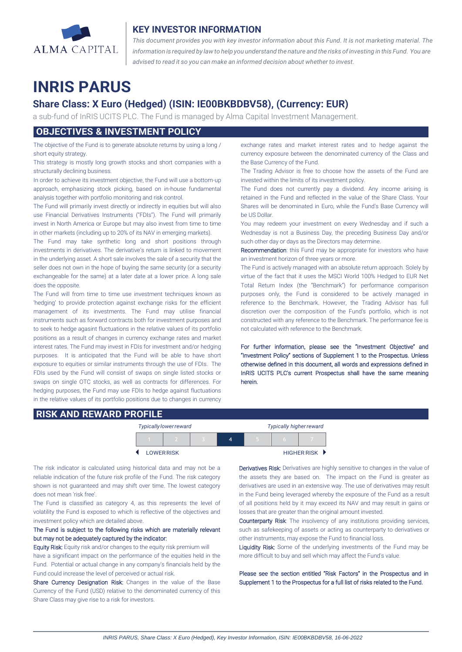

## **KEY INVESTOR INFORMATION**

*This document provides you with key investor information about this Fund. It is not marketing material. The* information is required by law to help you understand the nature and the risks of investing in this Fund. You are *advised to read it so you can make an informed decision about whether to invest.*

# **INRIS PARUS**

## **Share Class: X Euro (Hedged) (ISIN: IE00BKBDBV58), (Currency: EUR)**

a sub-fund of InRIS UCITS PLC. The Fund is managed by Alma Capital Investment Management.

## **OBJECTIVES & INVESTMENT POLICY**

The objective of the Fund is to generate absolute returns by using a long / short equity strategy.

This strategy is mostly long growth stocks and short companies with a structurally declining business.

In order to achieve its investment objective, the Fund will use a bottom-up approach, emphasizing stock picking, based on in-house fundamental analysis together with portfolio monitoring and risk control.

The Fund will primarily invest directly or indirectly in equities but will also use Financial Derivatives Instruments ("FDIs"). The Fund will primarily invest in North America or Europe but may also invest from time to time in other markets (including up to 20% of its NAV in emerging markets).

The Fund may take synthetic long and short positions through investments in derivatives. The derivative's return is linked to movement in the underlying asset. A short sale involves the sale of a security that the seller does not own in the hope of buying the same security (or a security exchangeable for the same) at a later date at a lower price. A long sale does the opposite.

The Fund will from time to time use investment techniques known as 'hedging' to provide protection against exchange risks for the efficient management of its investments. The Fund may utilise financial instruments such as forward contracts both for investment purposes and to seek to hedge agasint fluctuations in the relative values of its portfolio positions as a result of changes in currency exchange rates and market interest rates. The Fund may invest in FDIs for investment and/or hedging purposes. It is anticipated that the Fund will be able to have short exposure to equities or similar instruments through the use of FDIs. The FDIs used by the Fund will consist of swaps on single listed stocks or swaps on single OTC stocks, as well as contracts for differences. For hedging purposes, the Fund may use FDIs to hedge against fluctuations in the relative values of its portfolio positions due to changes in currency exchange rates and market interest rates and to hedge against the currency exposure between the denominated currency of the Class and the Base Currency of the Fund.

The Trading Advisor is free to choose how the assets of the Fund are invested within the limits of its investment policy.

The Fund does not currently pay a dividend. Any income arising is retained in the Fund and reflected in the value of the Share Class. Your Shares will be denominated in Euro, while the Fund's Base Currency will be US Dollar.

You may redeem your investment on every Wednesday and if such a Wednesday is not a Business Day, the preceding Business Day and/or such other day or days as the Directors may determine.

Recommendation: this Fund may be appropriate for investors who have an investment horizon of three years or more.

The Fund is actively managed with an absolute return approach. Solely by virtue of the fact that it uses the MSCI World 100% Hedged to EUR Net Total Return Index (the "Benchmark") for performance comparison purposes only, the Fund is considered to be actively managed in reference to the Benchmark. However, the Trading Advisor has full discretion over the composition of the Fund's portfolio, which is not constructed with any reference to the Benchmark. The performance fee is not calculated with reference to the Benchmark.

For further information, please see the "Investment Objective" and "Investment Policy" sections of Supplement 1 to the Prospectus. Unless otherwise defined in this document, all words and expressions defined in InRIS UCITS PLC's current Prospectus shall have the same meaning herein.

## **RISK AND REWARD PROFILE**

| <b>Typically lower reward</b> |  |  |   | <b>Typically higher reward</b> |  |             |
|-------------------------------|--|--|---|--------------------------------|--|-------------|
|                               |  |  | 4 |                                |  |             |
| <b>LOWER RISK</b>             |  |  |   |                                |  | HIGHER RISK |

The risk indicator is calculated using historical data and may not be a reliable indication of the future risk profile of the Fund. The risk category shown is not guaranteed and may shift over time. The lowest category does not mean 'risk free'.

The Fund is classified as category 4, as this represents the level of volatility the Fund is exposed to which is reflective of the objectives and investment policy which are detailed above.

### The Fund is subject to the following risks which are materially relevant but may not be adequately captured by the indicator:

Equity Risk: Equity risk and/or changes to the equity risk premium will have a significant impact on the performance of the equities held in the Fund. Potential or actual change in any company's financials held by the Fund could increase the level of perceived or actual risk.

Share Currency Designation Risk: Changes in the value of the Base Currency of the Fund (USD) relative to the denominated currency of this Share Class may give rise to a risk for investors.

Derivatives Risk: Derivatives are highly sensitive to changes in the value of the assets they are based on. The impact on the Fund is greater as derivatives are used in an extensive way. The use of derivatives may result in the Fund being leveraged whereby the exposure of the Fund as a result of all positions held by it may exceed its NAV and may result in gains or losses that are greater than the original amount invested.

Counterparty Risk: The insolvency of any institutions providing services, such as safekeeping of assets or acting as counterparty to derivatives or other instruments, may expose the Fund to financial loss.

Liquidity Risk: Some of the underlying investments of the Fund may be more difficult to buy and sell which may affect the Fund's value.

Please see the section entitled "Risk Factors" in the Prospectus and in Supplement 1 to the Prospectus for a full list of risks related to the Fund.